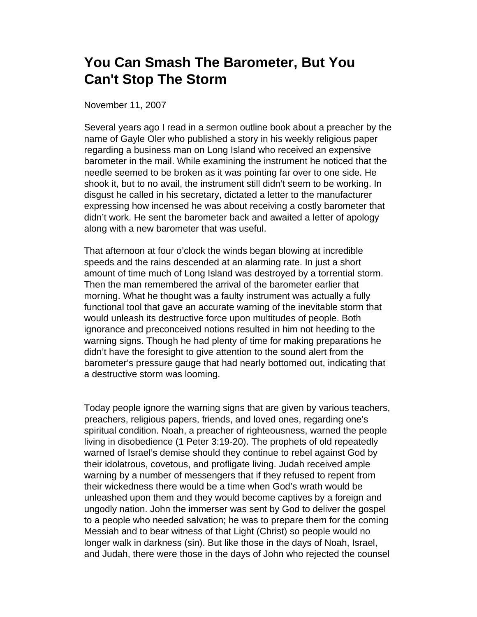## **You Can Smash The Barometer, But You Can't Stop The Storm**

November 11, 2007

Several years ago I read in a sermon outline book about a preacher by the name of Gayle Oler who published a story in his weekly religious paper regarding a business man on Long Island who received an expensive barometer in the mail. While examining the instrument he noticed that the needle seemed to be broken as it was pointing far over to one side. He shook it, but to no avail, the instrument still didn't seem to be working. In disgust he called in his secretary, dictated a letter to the manufacturer expressing how incensed he was about receiving a costly barometer that didn't work. He sent the barometer back and awaited a letter of apology along with a new barometer that was useful.

That afternoon at four o'clock the winds began blowing at incredible speeds and the rains descended at an alarming rate. In just a short amount of time much of Long Island was destroyed by a torrential storm. Then the man remembered the arrival of the barometer earlier that morning. What he thought was a faulty instrument was actually a fully functional tool that gave an accurate warning of the inevitable storm that would unleash its destructive force upon multitudes of people. Both ignorance and preconceived notions resulted in him not heeding to the warning signs. Though he had plenty of time for making preparations he didn't have the foresight to give attention to the sound alert from the barometer's pressure gauge that had nearly bottomed out, indicating that a destructive storm was looming.

Today people ignore the warning signs that are given by various teachers, preachers, religious papers, friends, and loved ones, regarding one's spiritual condition. Noah, a preacher of righteousness, warned the people living in disobedience (1 Peter 3:19-20). The prophets of old repeatedly warned of Israel's demise should they continue to rebel against God by their idolatrous, covetous, and profligate living. Judah received ample warning by a number of messengers that if they refused to repent from their wickedness there would be a time when God's wrath would be unleashed upon them and they would become captives by a foreign and ungodly nation. John the immerser was sent by God to deliver the gospel to a people who needed salvation; he was to prepare them for the coming Messiah and to bear witness of that Light (Christ) so people would no longer walk in darkness (sin). But like those in the days of Noah, Israel, and Judah, there were those in the days of John who rejected the counsel